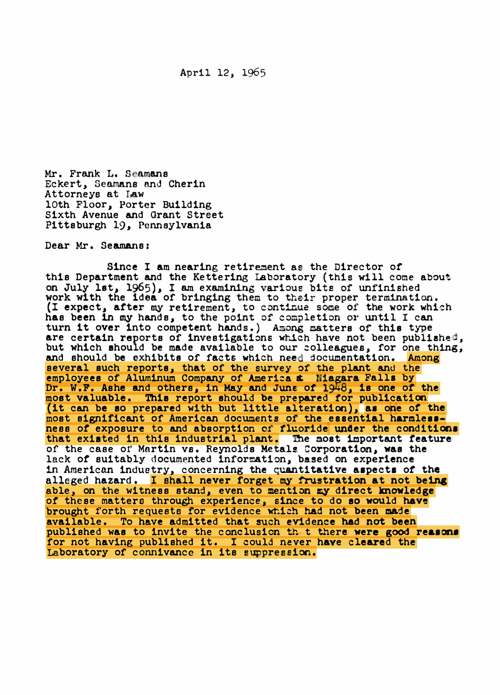Mr. Frank L. Seamans Eckert, Seamans and Cherin Attorneys at Law lOth Floor, Porter Building Sixth Avenue and Grant Street Pittsburgh 19, Pennsylvania

Dear Mr. Seamans :

Since I am nearing retirement as the Director of this Department and the Kettering Laboratory (this will come about on July 1st, 1965), I am examining various bits of unfinished work with the idea of bringing them to their proper termination. (I expect, after my retirement, to continue some of the work which has been in my hands, to the point of completion or until I can turn it over into competent hands.) Among matters of this type are certain reports of investigations which have not been published, but which should be made available to our colleagues, for one thing, and should be exhibits of facts which need documentation. Among several such reports, that of the survey of the plant and the employees of Aluminum Company of America & Miagara Falls by Dr. W.F. Ashe and others, in May and June of  $19\overline{48}$ , is one of the most valuable. This report should be prepared tor publication (it can be 10 prepared with but little alteration), aa one or the most significant of American documents of the essential harmlessness of exposure to and absorption of fluoride under the conditions that existed in this industrial plant. The most important feature of the case of Mnrtin vs. Reynolds Metals Corporation, was the lack of suitably documented information, based on experience 1n American industry, concerning the quantitative aapecta or the alleged hazard. I shall never forget my frustration at not being able, on the witness stand, even to mention my direct knowledge of these matters through experience, since to do so would have brought forth requests for evidence which had not been made available. To have admitted that such evidence had not been published was to invite the conclusion th t there were good reasons for not having published it. I could never have cleared the Laboratory of connivance in its suppression.